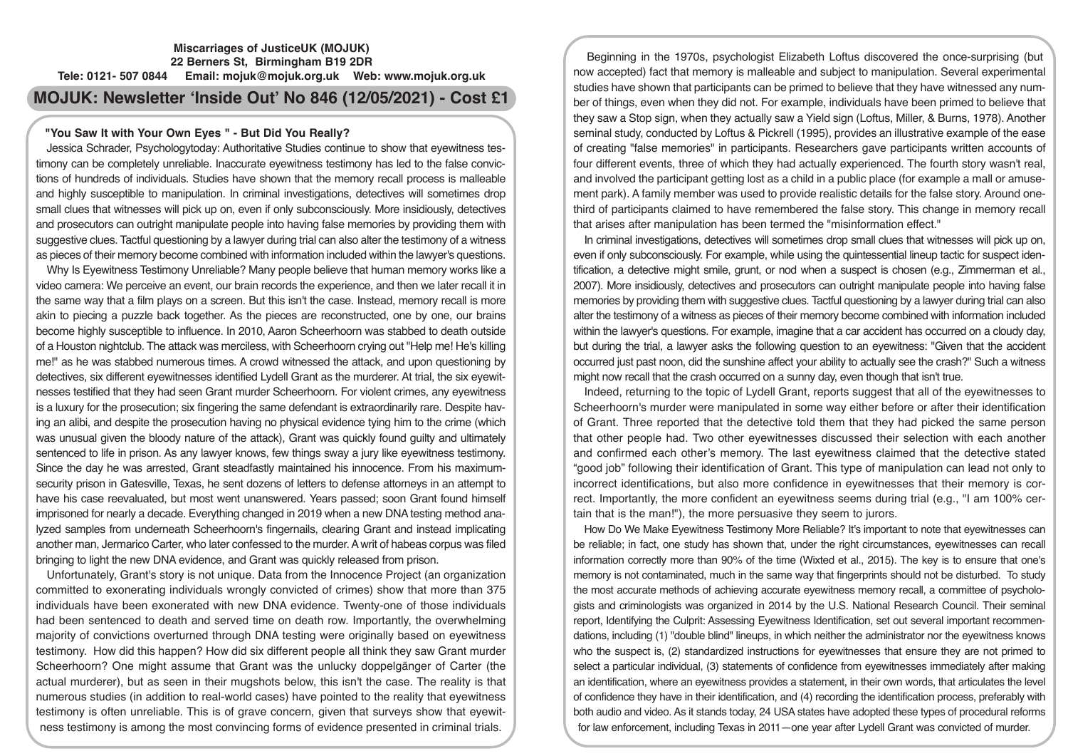# **Miscarriages of JusticeUK (MOJUK) 22 Berners St, Birmingham B19 2DR Tele: 0121- 507 0844 Email: mojuk@mojuk.org.uk Web: www.mojuk.org.uk**

# **MOJUK: Newsletter 'Inside Out' No 846 (12/05/2021) - Cost £1**

## **"You Saw It with Your Own Eyes " - But Did You Really?**

Jessica Schrader, Psychologytoday: Authoritative Studies continue to show that eyewitness testimony can be completely unreliable. Inaccurate eyewitness testimony has led to the false convictions of hundreds of individuals. Studies have shown that the memory recall process is malleable and highly susceptible to manipulation. In criminal investigations, detectives will sometimes drop small clues that witnesses will pick up on, even if only subconsciously. More insidiously, detectives and prosecutors can outright manipulate people into having false memories by providing them with suggestive clues. Tactful questioning by a lawyer during trial can also alter the testimony of a witness as pieces of their memory become combined with information included within the lawyer's questions.

Why Is Eyewitness Testimony Unreliable? Many people believe that human memory works like a video camera: We perceive an event, our brain records the experience, and then we later recall it in the same way that a film plays on a screen. But this isn't the case. Instead, memory recall is more akin to piecing a puzzle back together. As the pieces are reconstructed, one by one, our brains become highly susceptible to influence. In 2010, Aaron Scheerhoorn was stabbed to death outside of a Houston nightclub. The attack was merciless, with Scheerhoorn crying out "Help me! He's killing me!" as he was stabbed numerous times. A crowd witnessed the attack, and upon questioning by detectives, six different eyewitnesses identified Lydell Grant as the murderer. At trial, the six eyewitnesses testified that they had seen Grant murder Scheerhoorn. For violent crimes, any eyewitness is a luxury for the prosecution; six fingering the same defendant is extraordinarily rare. Despite having an alibi, and despite the prosecution having no physical evidence tying him to the crime (which was unusual given the bloody nature of the attack), Grant was quickly found guilty and ultimately sentenced to life in prison. As any lawyer knows, few things sway a jury like eyewitness testimony. Since the day he was arrested, Grant steadfastly maintained his innocence. From his maximumsecurity prison in Gatesville, Texas, he sent dozens of letters to defense attorneys in an attempt to have his case reevaluated, but most went unanswered. Years passed; soon Grant found himself imprisoned for nearly a decade. Everything changed in 2019 when a new DNA testing method analyzed samples from underneath Scheerhoorn's fingernails, clearing Grant and instead implicating another man, Jermarico Carter, who later confessed to the murder. A writ of habeas corpus was filed bringing to light the new DNA evidence, and Grant was quickly released from prison.

Unfortunately, Grant's story is not unique. Data from the Innocence Project (an organization committed to exonerating individuals wrongly convicted of crimes) show that more than 375 individuals have been exonerated with new DNA evidence. Twenty-one of those individuals had been sentenced to death and served time on death row. Importantly, the overwhelming majority of convictions overturned through DNA testing were originally based on eyewitness testimony. How did this happen? How did six different people all think they saw Grant murder Scheerhoorn? One might assume that Grant was the unlucky doppelgänger of Carter (the actual murderer), but as seen in their mugshots below, this isn't the case. The reality is that numerous studies (in addition to real-world cases) have pointed to the reality that eyewitness testimony is often unreliable. This is of grave concern, given that surveys show that evewitness testimony is among the most convincing forms of evidence presented in criminal trials.

Beginning in the 1970s, psychologist Elizabeth Loftus discovered the once-surprising (but now accepted) fact that memory is malleable and subject to manipulation. Several experimental studies have shown that participants can be primed to believe that they have witnessed any number of things, even when they did not. For example, individuals have been primed to believe that they saw a Stop sign, when they actually saw a Yield sign (Loftus, Miller, & Burns, 1978). Another seminal study, conducted by Loftus & Pickrell (1995), provides an illustrative example of the ease of creating "false memories" in participants. Researchers gave participants written accounts of four different events, three of which they had actually experienced. The fourth story wasn't real, and involved the participant getting lost as a child in a public place (for example a mall or amusement park). A family member was used to provide realistic details for the false story. Around onethird of participants claimed to have remembered the false story. This change in memory recall that arises after manipulation has been termed the "misinformation effect."

In criminal investigations, detectives will sometimes drop small clues that witnesses will pick up on, even if only subconsciously. For example, while using the quintessential lineup tactic for suspect identification, a detective might smile, grunt, or nod when a suspect is chosen (e.g., Zimmerman et al., 2007). More insidiously, detectives and prosecutors can outright manipulate people into having false memories by providing them with suggestive clues. Tactful questioning by a lawyer during trial can also alter the testimony of a witness as pieces of their memory become combined with information included within the lawyer's questions. For example, imagine that a car accident has occurred on a cloudy day, but during the trial, a lawyer asks the following question to an eyewitness: "Given that the accident occurred just past noon, did the sunshine affect your ability to actually see the crash?" Such a witness might now recall that the crash occurred on a sunny day, even though that isn't true.

Indeed, returning to the topic of Lydell Grant, reports suggest that all of the eyewitnesses to Scheerhoorn's murder were manipulated in some way either before or after their identification of Grant. Three reported that the detective told them that they had picked the same person that other people had. Two other eyewitnesses discussed their selection with each another and confirmed each other's memory. The last eyewitness claimed that the detective stated "good job" following their identification of Grant. This type of manipulation can lead not only to incorrect identifications, but also more confidence in eyewitnesses that their memory is correct. Importantly, the more confident an eyewitness seems during trial (e.g., "I am 100% certain that is the man!"), the more persuasive they seem to jurors.

How Do We Make Eyewitness Testimony More Reliable? It's important to note that eyewitnesses can be reliable; in fact, one study has shown that, under the right circumstances, eyewitnesses can recall information correctly more than 90% of the time (Wixted et al., 2015). The key is to ensure that one's memory is not contaminated, much in the same way that fingerprints should not be disturbed. To study the most accurate methods of achieving accurate eyewitness memory recall, a committee of psychologists and criminologists was organized in 2014 by the U.S. National Research Council. Their seminal report, Identifying the Culprit: Assessing Eyewitness Identification, set out several important recommendations, including (1) "double blind" lineups, in which neither the administrator nor the eyewitness knows who the suspect is, (2) standardized instructions for eyewitnesses that ensure they are not primed to select a particular individual, (3) statements of confidence from eyewitnesses immediately after making an identification, where an eyewitness provides a statement, in their own words, that articulates the level of confidence they have in their identification, and (4) recording the identification process, preferably with both audio and video. As it stands today, 24 USA states have adopted these types of procedural reforms for law enforcement, including Texas in 2011—one year after Lydell Grant was convicted of murder.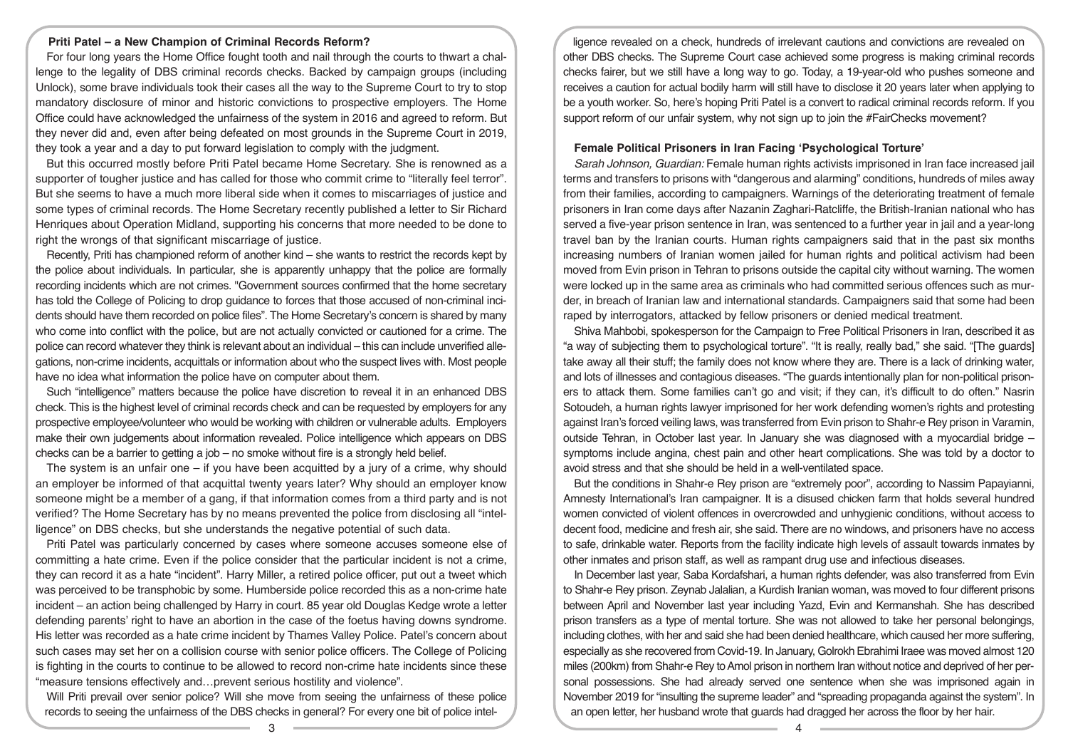### **Priti Patel – a New Champion of Criminal Records Reform?**

For four long years the Home Office fought tooth and nail through the courts to thwart a challenge to the legality of DBS criminal records checks. Backed by campaign groups (including Unlock), some brave individuals took their cases all the way to the Supreme Court to try to stop mandatory disclosure of minor and historic convictions to prospective employers. The Home Office could have acknowledged the unfairness of the system in 2016 and agreed to reform. But they never did and, even after being defeated on most grounds in the Supreme Court in 2019, they took a year and a day to put forward legislation to comply with the judgment.

But this occurred mostly before Priti Patel became Home Secretary. She is renowned as a supporter of tougher justice and has called for those who commit crime to "literally feel terror". But she seems to have a much more liberal side when it comes to miscarriages of justice and some types of criminal records. The Home Secretary recently published a letter to Sir Richard Henriques about Operation Midland, supporting his concerns that more needed to be done to right the wrongs of that significant miscarriage of justice.

Recently, Priti has championed reform of another kind – she wants to restrict the records kept by the police about individuals. In particular, she is apparently unhappy that the police are formally recording incidents which are not crimes. "Government sources confirmed that the home secretary has told the College of Policing to drop guidance to forces that those accused of non-criminal incidents should have them recorded on police files". The Home Secretary's concern is shared by many who come into conflict with the police, but are not actually convicted or cautioned for a crime. The police can record whatever they think is relevant about an individual – this can include unverified allegations, non-crime incidents, acquittals or information about who the suspect lives with. Most people have no idea what information the police have on computer about them.

Such "intelligence" matters because the police have discretion to reveal it in an enhanced DBS check. This is the highest level of criminal records check and can be requested by employers for any prospective employee/volunteer who would be working with children or vulnerable adults. Employers make their own judgements about information revealed. Police intelligence which appears on DBS checks can be a barrier to getting a job – no smoke without fire is a strongly held belief.

The system is an unfair one – if you have been acquitted by a jury of a crime, why should an employer be informed of that acquittal twenty years later? Why should an employer know someone might be a member of a gang, if that information comes from a third party and is not verified? The Home Secretary has by no means prevented the police from disclosing all "intelligence" on DBS checks, but she understands the negative potential of such data.

Priti Patel was particularly concerned by cases where someone accuses someone else of committing a hate crime. Even if the police consider that the particular incident is not a crime, they can record it as a hate "incident". Harry Miller, a retired police officer, put out a tweet which was perceived to be transphobic by some. Humberside police recorded this as a non-crime hate incident – an action being challenged by Harry in court. 85 year old Douglas Kedge wrote a letter defending parents' right to have an abortion in the case of the foetus having downs syndrome. His letter was recorded as a hate crime incident by Thames Valley Police. Patel's concern about such cases may set her on a collision course with senior police officers. The College of Policing is fighting in the courts to continue to be allowed to record non-crime hate incidents since these "measure tensions effectively and…prevent serious hostility and violence".

Will Priti prevail over senior police? Will she move from seeing the unfairness of these police records to seeing the unfairness of the DBS checks in general? For every one bit of police intel-

ligence revealed on a check, hundreds of irrelevant cautions and convictions are revealed on other DBS checks. The Supreme Court case achieved some progress is making criminal records checks fairer, but we still have a long way to go. Today, a 19-year-old who pushes someone and receives a caution for actual bodily harm will still have to disclose it 20 years later when applying to be a youth worker. So, here's hoping Priti Patel is a convert to radical criminal records reform. If you support reform of our unfair system, why not sign up to join the #FairChecks movement?

#### **Female Political Prisoners in Iran Facing 'Psychological Torture'**

*Sarah Johnson, Guardian:* Female human rights activists imprisoned in Iran face increased jail terms and transfers to prisons with "dangerous and alarming" conditions, hundreds of miles away from their families, according to campaigners. Warnings of the deteriorating treatment of female prisoners in Iran come days after Nazanin Zaghari-Ratcliffe, the British-Iranian national who has served a five-year prison sentence in Iran, was sentenced to a further year in jail and a year-long travel ban by the Iranian courts. Human rights campaigners said that in the past six months increasing numbers of Iranian women jailed for human rights and political activism had been moved from Evin prison in Tehran to prisons outside the capital city without warning. The women were locked up in the same area as criminals who had committed serious offences such as murder, in breach of Iranian law and international standards. Campaigners said that some had been raped by interrogators, attacked by fellow prisoners or denied medical treatment.

Shiva Mahbobi, spokesperson for the Campaign to Free Political Prisoners in Iran, described it as "a way of subjecting them to psychological torture". "It is really, really bad," she said. "[The guards] take away all their stuff; the family does not know where they are. There is a lack of drinking water, and lots of illnesses and contagious diseases. "The guards intentionally plan for non-political prisoners to attack them. Some families can't go and visit; if they can, it's difficult to do often." Nasrin Sotoudeh, a human rights lawyer imprisoned for her work defending women's rights and protesting against Iran's forced veiling laws, was transferred from Evin prison to Shahr-e Rey prison in Varamin, outside Tehran, in October last year. In January she was diagnosed with a myocardial bridge – symptoms include angina, chest pain and other heart complications. She was told by a doctor to avoid stress and that she should be held in a well-ventilated space.

But the conditions in Shahr-e Rey prison are "extremely poor", according to Nassim Papayianni, Amnesty International's Iran campaigner. It is a disused chicken farm that holds several hundred women convicted of violent offences in overcrowded and unhygienic conditions, without access to decent food, medicine and fresh air, she said. There are no windows, and prisoners have no access to safe, drinkable water. Reports from the facility indicate high levels of assault towards inmates by other inmates and prison staff, as well as rampant drug use and infectious diseases.

In December last year, Saba Kordafshari, a human rights defender, was also transferred from Evin to Shahr-e Rey prison. Zeynab Jalalian, a Kurdish Iranian woman, was moved to four different prisons between April and November last year including Yazd, Evin and Kermanshah. She has described prison transfers as a type of mental torture. She was not allowed to take her personal belongings, including clothes, with her and said she had been denied healthcare, which caused her more suffering, especially as she recovered from Covid-19. In January, Golrokh Ebrahimi Iraee was moved almost 120 miles (200km) from Shahr-e Rey to Amol prison in northern Iran without notice and deprived of her personal possessions. She had already served one sentence when she was imprisoned again in November 2019 for "insulting the supreme leader" and "spreading propaganda against the system". In an open letter, her husband wrote that guards had dragged her across the floor by her hair.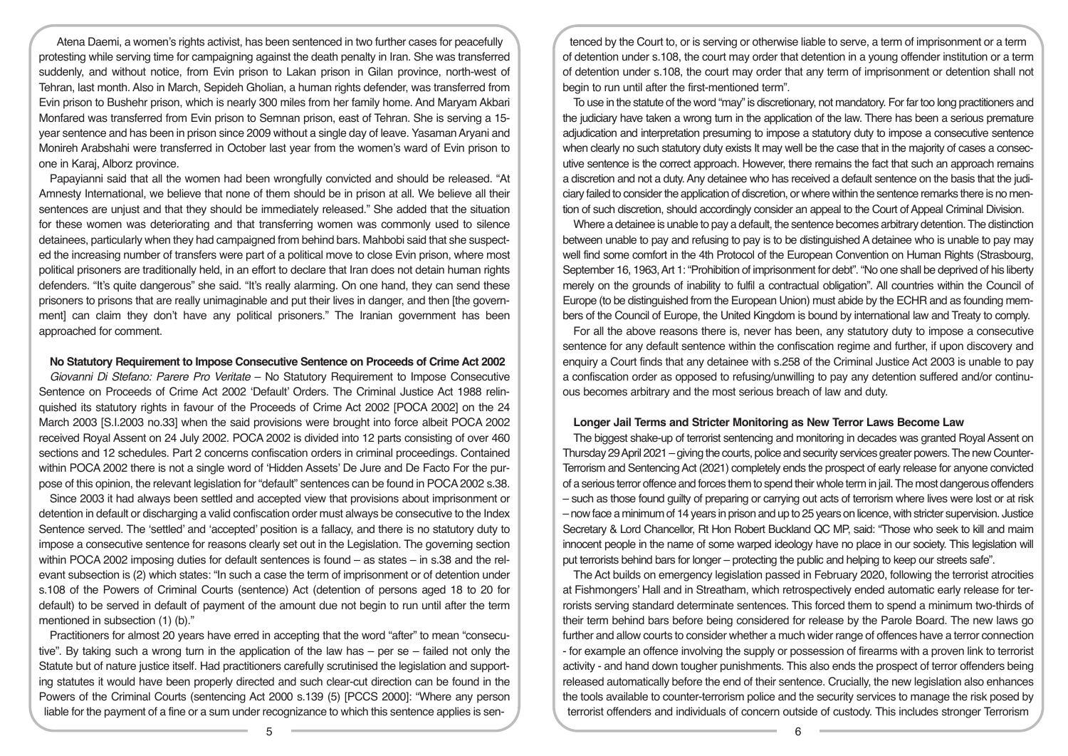Atena Daemi, a women's rights activist, has been sentenced in two further cases for peacefully protesting while serving time for campaigning against the death penalty in Iran. She was transferred suddenly, and without notice, from Evin prison to Lakan prison in Gilan province, north-west of Tehran, last month. Also in March, Sepideh Gholian, a human rights defender, was transferred from Evin prison to Bushehr prison, which is nearly 300 miles from her family home. And Maryam Akbari Monfared was transferred from Evin prison to Semnan prison, east of Tehran. She is serving a 15 year sentence and has been in prison since 2009 without a single day of leave. Yasaman Aryani and Monireh Arabshahi were transferred in October last year from the women's ward of Evin prison to one in Karaj, Alborz province.

Papayianni said that all the women had been wrongfully convicted and should be released. "At Amnesty International, we believe that none of them should be in prison at all. We believe all their sentences are unjust and that they should be immediately released." She added that the situation for these women was deteriorating and that transferring women was commonly used to silence detainees, particularly when they had campaigned from behind bars. Mahbobi said that she suspected the increasing number of transfers were part of a political move to close Evin prison, where most political prisoners are traditionally held, in an effort to declare that Iran does not detain human rights defenders. "It's quite dangerous" she said. "It's really alarming. On one hand, they can send these prisoners to prisons that are really unimaginable and put their lives in danger, and then [the government] can claim they don't have any political prisoners." The Iranian government has been approached for comment.

### **No Statutory Requirement to Impose Consecutive Sentence on Proceeds of Crime Act 2002**

*Giovanni Di Stefano: Parere Pro Veritate* – No Statutory Requirement to Impose Consecutive Sentence on Proceeds of Crime Act 2002 'Default' Orders. The Criminal Justice Act 1988 relinquished its statutory rights in favour of the Proceeds of Crime Act 2002 [POCA 2002] on the 24 March 2003 [S.I.2003 no.33] when the said provisions were brought into force albeit POCA 2002 received Royal Assent on 24 July 2002. POCA 2002 is divided into 12 parts consisting of over 460 sections and 12 schedules. Part 2 concerns confiscation orders in criminal proceedings. Contained within POCA 2002 there is not a single word of 'Hidden Assets' De Jure and De Facto For the purpose of this opinion, the relevant legislation for "default" sentences can be found in POCA 2002 s.38.

Since 2003 it had always been settled and accepted view that provisions about imprisonment or detention in default or discharging a valid confiscation order must always be consecutive to the Index Sentence served. The 'settled' and 'accepted' position is a fallacy, and there is no statutory duty to impose a consecutive sentence for reasons clearly set out in the Legislation. The governing section within POCA 2002 imposing duties for default sentences is found – as states – in s.38 and the relevant subsection is (2) which states: "In such a case the term of imprisonment or of detention under s.108 of the Powers of Criminal Courts (sentence) Act (detention of persons aged 18 to 20 for default) to be served in default of payment of the amount due not begin to run until after the term mentioned in subsection (1) (b)."

Practitioners for almost 20 years have erred in accepting that the word "after" to mean "consecutive". By taking such a wrong turn in the application of the law has – per se – failed not only the Statute but of nature justice itself. Had practitioners carefully scrutinised the legislation and supporting statutes it would have been properly directed and such clear-cut direction can be found in the Powers of the Criminal Courts (sentencing Act 2000 s.139 (5) [PCCS 2000]: "Where any person liable for the payment of a fine or a sum under recognizance to which this sentence applies is sen-

tenced by the Court to, or is serving or otherwise liable to serve, a term of imprisonment or a term of detention under s.108, the court may order that detention in a young offender institution or a term of detention under s.108, the court may order that any term of imprisonment or detention shall not begin to run until after the first-mentioned term".

To use in the statute of the word "may" is discretionary, not mandatory. For far too long practitioners and the judiciary have taken a wrong turn in the application of the law. There has been a serious premature adjudication and interpretation presuming to impose a statutory duty to impose a consecutive sentence when clearly no such statutory duty exists It may well be the case that in the majority of cases a consecutive sentence is the correct approach. However, there remains the fact that such an approach remains a discretion and not a duty. Any detainee who has received a default sentence on the basis that the judiciary failed to consider the application of discretion, or where within the sentence remarks there is no mention of such discretion, should accordingly consider an appeal to the Court of Appeal Criminal Division.

Where a detainee is unable to pay a default, the sentence becomes arbitrary detention. The distinction between unable to pay and refusing to pay is to be distinguished A detainee who is unable to pay may well find some comfort in the 4th Protocol of the European Convention on Human Rights (Strasbourg, September 16, 1963, Art 1: "Prohibition of imprisonment for debt". "No one shall be deprived of his liberty merely on the grounds of inability to fulfil a contractual obligation". All countries within the Council of Europe (to be distinguished from the European Union) must abide by the ECHR and as founding members of the Council of Europe, the United Kingdom is bound by international law and Treaty to comply.

For all the above reasons there is, never has been, any statutory duty to impose a consecutive sentence for any default sentence within the confiscation regime and further, if upon discovery and enquiry a Court finds that any detainee with s.258 of the Criminal Justice Act 2003 is unable to pay a confiscation order as opposed to refusing/unwilling to pay any detention suffered and/or continuous becomes arbitrary and the most serious breach of law and duty.

### **Longer Jail Terms and Stricter Monitoring as New Terror Laws Become Law**

The biggest shake-up of terrorist sentencing and monitoring in decades was granted Royal Assent on Thursday 29 April 2021 – giving the courts, police and security services greater powers. The new Counter-Terrorism and Sentencing Act (2021) completely ends the prospect of early release for anyone convicted of a serious terror offence and forces them to spend their whole term in jail. The most dangerous offenders – such as those found guilty of preparing or carrying out acts of terrorism where lives were lost or at risk – now face a minimum of 14 years in prison and up to 25 years on licence, with stricter supervision. Justice Secretary & Lord Chancellor, Rt Hon Robert Buckland QC MP, said: "Those who seek to kill and maim innocent people in the name of some warped ideology have no place in our society. This legislation will put terrorists behind bars for longer – protecting the public and helping to keep our streets safe".

The Act builds on emergency legislation passed in February 2020, following the terrorist atrocities at Fishmongers' Hall and in Streatham, which retrospectively ended automatic early release for terrorists serving standard determinate sentences. This forced them to spend a minimum two-thirds of their term behind bars before being considered for release by the Parole Board. The new laws go further and allow courts to consider whether a much wider range of offences have a terror connection - for example an offence involving the supply or possession of firearms with a proven link to terrorist activity - and hand down tougher punishments. This also ends the prospect of terror offenders being released automatically before the end of their sentence. Crucially, the new legislation also enhances the tools available to counter-terrorism police and the security services to manage the risk posed by terrorist offenders and individuals of concern outside of custody. This includes stronger Terrorism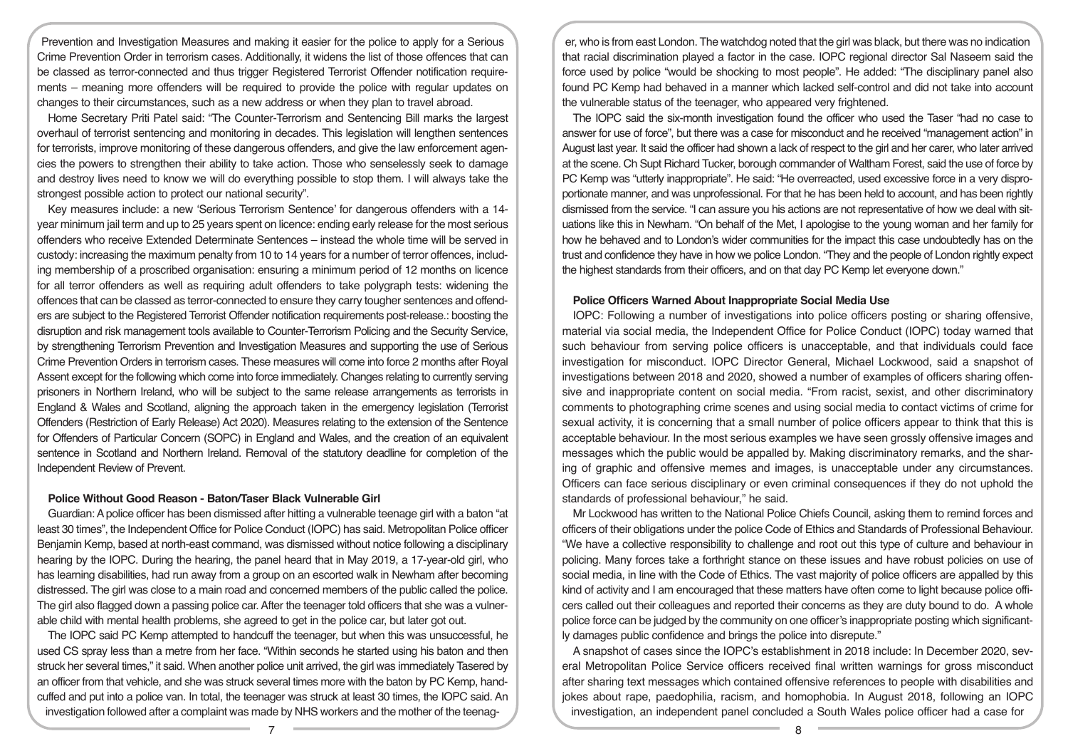Prevention and Investigation Measures and making it easier for the police to apply for a Serious Crime Prevention Order in terrorism cases. Additionally, it widens the list of those offences that can be classed as terror-connected and thus trigger Registered Terrorist Offender notification requirements – meaning more offenders will be required to provide the police with regular updates on changes to their circumstances, such as a new address or when they plan to travel abroad.

Home Secretary Priti Patel said: "The Counter-Terrorism and Sentencing Bill marks the largest overhaul of terrorist sentencing and monitoring in decades. This legislation will lengthen sentences for terrorists, improve monitoring of these dangerous offenders, and give the law enforcement agencies the powers to strengthen their ability to take action. Those who senselessly seek to damage and destroy lives need to know we will do everything possible to stop them. I will always take the strongest possible action to protect our national security".

Key measures include: a new 'Serious Terrorism Sentence' for dangerous offenders with a 14 year minimum jail term and up to 25 years spent on licence: ending early release for the most serious offenders who receive Extended Determinate Sentences – instead the whole time will be served in custody: increasing the maximum penalty from 10 to 14 years for a number of terror offences, including membership of a proscribed organisation: ensuring a minimum period of 12 months on licence for all terror offenders as well as requiring adult offenders to take polygraph tests: widening the offences that can be classed as terror-connected to ensure they carry tougher sentences and offenders are subject to the Registered Terrorist Offender notification requirements post-release.: boosting the disruption and risk management tools available to Counter-Terrorism Policing and the Security Service, by strengthening Terrorism Prevention and Investigation Measures and supporting the use of Serious Crime Prevention Orders in terrorism cases. These measures will come into force 2 months after Royal Assent except for the following which come into force immediately. Changes relating to currently serving prisoners in Northern Ireland, who will be subject to the same release arrangements as terrorists in England & Wales and Scotland, aligning the approach taken in the emergency legislation (Terrorist Offenders (Restriction of Early Release) Act 2020). Measures relating to the extension of the Sentence for Offenders of Particular Concern (SOPC) in England and Wales, and the creation of an equivalent sentence in Scotland and Northern Ireland. Removal of the statutory deadline for completion of the Independent Review of Prevent.

#### **Police Without Good Reason - Baton/Taser Black Vulnerable Girl**

Guardian: A police officer has been dismissed after hitting a vulnerable teenage girl with a baton "at least 30 times", the Independent Office for Police Conduct (IOPC) has said. Metropolitan Police officer Benjamin Kemp, based at north-east command, was dismissed without notice following a disciplinary hearing by the IOPC. During the hearing, the panel heard that in May 2019, a 17-year-old girl, who has learning disabilities, had run away from a group on an escorted walk in Newham after becoming distressed. The girl was close to a main road and concerned members of the public called the police. The girl also flagged down a passing police car. After the teenager told officers that she was a vulnerable child with mental health problems, she agreed to get in the police car, but later got out.

The IOPC said PC Kemp attempted to handcuff the teenager, but when this was unsuccessful, he used CS spray less than a metre from her face. "Within seconds he started using his baton and then struck her several times," it said. When another police unit arrived, the girl was immediately Tasered by an officer from that vehicle, and she was struck several times more with the baton by PC Kemp, handcuffed and put into a police van. In total, the teenager was struck at least 30 times, the IOPC said. An investigation followed after a complaint was made by NHS workers and the mother of the teenag-

er, who is from east London. The watchdog noted that the girl was black, but there was no indication that racial discrimination played a factor in the case. IOPC regional director Sal Naseem said the force used by police "would be shocking to most people". He added: "The disciplinary panel also found PC Kemp had behaved in a manner which lacked self-control and did not take into account the vulnerable status of the teenager, who appeared very frightened.

The IOPC said the six-month investigation found the officer who used the Taser "had no case to answer for use of force", but there was a case for misconduct and he received "management action" in August last year. It said the officer had shown a lack of respect to the girl and her carer, who later arrived at the scene. Ch Supt Richard Tucker, borough commander of Waltham Forest, said the use of force by PC Kemp was "utterly inappropriate". He said: "He overreacted, used excessive force in a very disproportionate manner, and was unprofessional. For that he has been held to account, and has been rightly dismissed from the service. "I can assure you his actions are not representative of how we deal with situations like this in Newham. "On behalf of the Met, I apologise to the young woman and her family for how he behaved and to London's wider communities for the impact this case undoubtedly has on the trust and confidence they have in how we police London. "They and the people of London rightly expect the highest standards from their officers, and on that day PC Kemp let everyone down."

#### **Police Officers Warned About Inappropriate Social Media Use**

IOPC: Following a number of investigations into police officers posting or sharing offensive, material via social media, the Independent Office for Police Conduct (IOPC) today warned that such behaviour from serving police officers is unacceptable, and that individuals could face investigation for misconduct. IOPC Director General, Michael Lockwood, said a snapshot of investigations between 2018 and 2020, showed a number of examples of officers sharing offensive and inappropriate content on social media. "From racist, sexist, and other discriminatory comments to photographing crime scenes and using social media to contact victims of crime for sexual activity, it is concerning that a small number of police officers appear to think that this is acceptable behaviour. In the most serious examples we have seen grossly offensive images and messages which the public would be appalled by. Making discriminatory remarks, and the sharing of graphic and offensive memes and images, is unacceptable under any circumstances. Officers can face serious disciplinary or even criminal consequences if they do not uphold the standards of professional behaviour," he said.

Mr Lockwood has written to the National Police Chiefs Council, asking them to remind forces and officers of their obligations under the police Code of Ethics and Standards of Professional Behaviour. "We have a collective responsibility to challenge and root out this type of culture and behaviour in policing. Many forces take a forthright stance on these issues and have robust policies on use of social media, in line with the Code of Ethics. The vast majority of police officers are appalled by this kind of activity and I am encouraged that these matters have often come to light because police officers called out their colleagues and reported their concerns as they are duty bound to do. A whole police force can be judged by the community on one officer's inappropriate posting which significantly damages public confidence and brings the police into disrepute."

A snapshot of cases since the IOPC's establishment in 2018 include: In December 2020, several Metropolitan Police Service officers received final written warnings for gross misconduct after sharing text messages which contained offensive references to people with disabilities and jokes about rape, paedophilia, racism, and homophobia. In August 2018, following an IOPC investigation, an independent panel concluded a South Wales police officer had a case for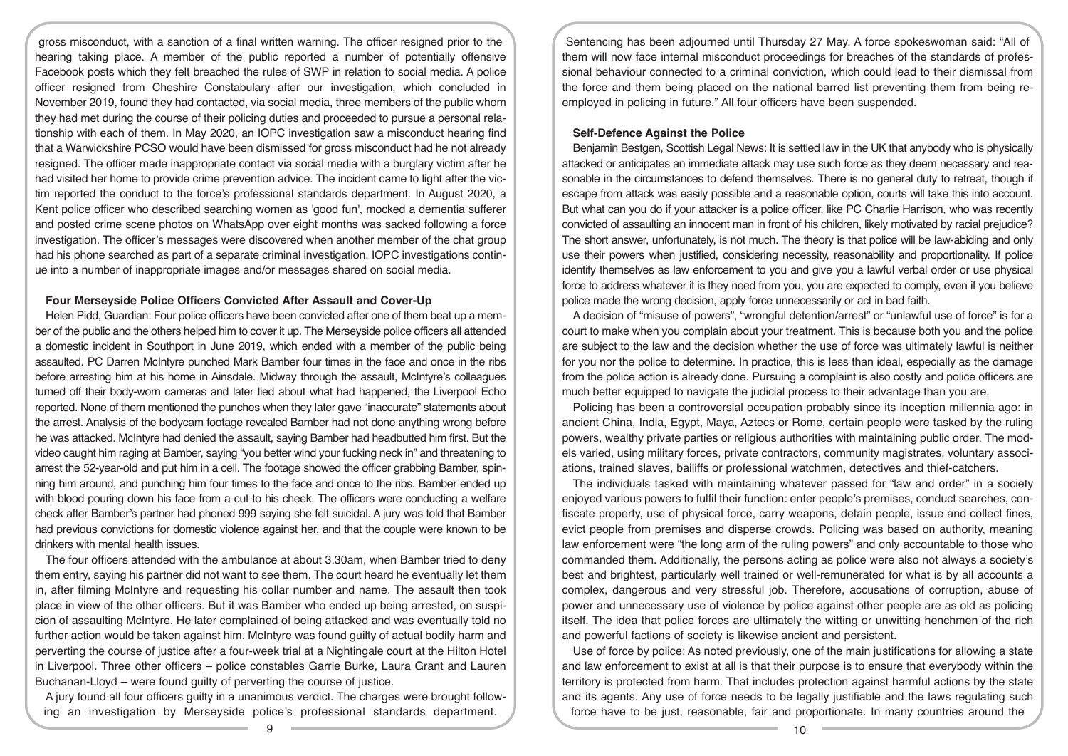gross misconduct, with a sanction of a final written warning. The officer resigned prior to the hearing taking place. A member of the public reported a number of potentially offensive Facebook posts which they felt breached the rules of SWP in relation to social media. A police officer resigned from Cheshire Constabulary after our investigation, which concluded in November 2019, found they had contacted, via social media, three members of the public whom they had met during the course of their policing duties and proceeded to pursue a personal relationship with each of them. In May 2020, an IOPC investigation saw a misconduct hearing find that a Warwickshire PCSO would have been dismissed for gross misconduct had he not already resigned. The officer made inappropriate contact via social media with a burglary victim after he had visited her home to provide crime prevention advice. The incident came to light after the victim reported the conduct to the force's professional standards department. In August 2020, a Kent police officer who described searching women as 'good fun', mocked a dementia sufferer and posted crime scene photos on WhatsApp over eight months was sacked following a force investigation. The officer's messages were discovered when another member of the chat group had his phone searched as part of a separate criminal investigation. IOPC investigations continue into a number of inappropriate images and/or messages shared on social media.

#### **Four Merseyside Police Officers Convicted After Assault and Cover-Up**

Helen Pidd, Guardian: Four police officers have been convicted after one of them beat up a member of the public and the others helped him to cover it up. The Merseyside police officers all attended a domestic incident in Southport in June 2019, which ended with a member of the public being assaulted. PC Darren McIntyre punched Mark Bamber four times in the face and once in the ribs before arresting him at his home in Ainsdale. Midway through the assault, McIntyre's colleagues turned off their body-worn cameras and later lied about what had happened, the Liverpool Echo reported. None of them mentioned the punches when they later gave "inaccurate" statements about the arrest. Analysis of the bodycam footage revealed Bamber had not done anything wrong before he was attacked. McIntyre had denied the assault, saying Bamber had headbutted him first. But the video caught him raging at Bamber, saying "you better wind your fucking neck in" and threatening to arrest the 52-year-old and put him in a cell. The footage showed the officer grabbing Bamber, spinning him around, and punching him four times to the face and once to the ribs. Bamber ended up with blood pouring down his face from a cut to his cheek. The officers were conducting a welfare check after Bamber's partner had phoned 999 saying she felt suicidal. A jury was told that Bamber had previous convictions for domestic violence against her, and that the couple were known to be drinkers with mental health issues.

The four officers attended with the ambulance at about 3.30am, when Bamber tried to deny them entry, saying his partner did not want to see them. The court heard he eventually let them in, after filming McIntyre and requesting his collar number and name. The assault then took place in view of the other officers. But it was Bamber who ended up being arrested, on suspicion of assaulting McIntyre. He later complained of being attacked and was eventually told no further action would be taken against him. McIntyre was found guilty of actual bodily harm and perverting the course of justice after a four-week trial at a Nightingale court at the Hilton Hotel in Liverpool. Three other officers – police constables Garrie Burke, Laura Grant and Lauren Buchanan-Lloyd – were found guilty of perverting the course of justice.

A jury found all four officers guilty in a unanimous verdict. The charges were brought following an investigation by Merseyside police's professional standards department.

Sentencing has been adjourned until Thursday 27 May. A force spokeswoman said: "All of them will now face internal misconduct proceedings for breaches of the standards of professional behaviour connected to a criminal conviction, which could lead to their dismissal from the force and them being placed on the national barred list preventing them from being reemployed in policing in future." All four officers have been suspended.

## **Self-Defence Against the Police**

Benjamin Bestgen, Scottish Legal News: It is settled law in the UK that anybody who is physically attacked or anticipates an immediate attack may use such force as they deem necessary and reasonable in the circumstances to defend themselves. There is no general duty to retreat, though if escape from attack was easily possible and a reasonable option, courts will take this into account. But what can you do if your attacker is a police officer, like PC Charlie Harrison, who was recently convicted of assaulting an innocent man in front of his children, likely motivated by racial prejudice? The short answer, unfortunately, is not much. The theory is that police will be law-abiding and only use their powers when justified, considering necessity, reasonability and proportionality. If police identify themselves as law enforcement to you and give you a lawful verbal order or use physical force to address whatever it is they need from you, you are expected to comply, even if you believe police made the wrong decision, apply force unnecessarily or act in bad faith.

A decision of "misuse of powers", "wrongful detention/arrest" or "unlawful use of force" is for a court to make when you complain about your treatment. This is because both you and the police are subject to the law and the decision whether the use of force was ultimately lawful is neither for you nor the police to determine. In practice, this is less than ideal, especially as the damage from the police action is already done. Pursuing a complaint is also costly and police officers are much better equipped to navigate the judicial process to their advantage than you are.

Policing has been a controversial occupation probably since its inception millennia ago: in ancient China, India, Egypt, Maya, Aztecs or Rome, certain people were tasked by the ruling powers, wealthy private parties or religious authorities with maintaining public order. The models varied, using military forces, private contractors, community magistrates, voluntary associations, trained slaves, bailiffs or professional watchmen, detectives and thief-catchers.

The individuals tasked with maintaining whatever passed for "law and order" in a society enjoyed various powers to fulfil their function: enter people's premises, conduct searches, confiscate property, use of physical force, carry weapons, detain people, issue and collect fines, evict people from premises and disperse crowds. Policing was based on authority, meaning law enforcement were "the long arm of the ruling powers" and only accountable to those who commanded them. Additionally, the persons acting as police were also not always a society's best and brightest, particularly well trained or well-remunerated for what is by all accounts a complex, dangerous and very stressful job. Therefore, accusations of corruption, abuse of power and unnecessary use of violence by police against other people are as old as policing itself. The idea that police forces are ultimately the witting or unwitting henchmen of the rich and powerful factions of society is likewise ancient and persistent.

Use of force by police: As noted previously, one of the main justifications for allowing a state and law enforcement to exist at all is that their purpose is to ensure that everybody within the territory is protected from harm. That includes protection against harmful actions by the state and its agents. Any use of force needs to be legally justifiable and the laws regulating such force have to be just, reasonable, fair and proportionate. In many countries around the